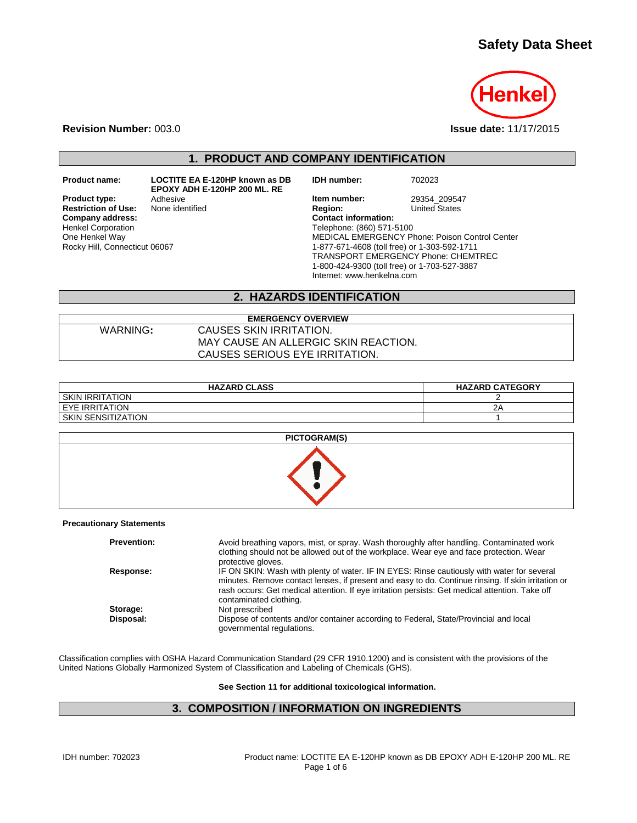# **Safety Data Sheet**



**Revision Number:** 003.0 **Issue date:** 11/17/2015

# **1. PRODUCT AND COMPANY IDENTIFICATION**

**Product name: LOCTITE EA E-120HP known as DB EPOXY ADH E-120HP 200 ML. RE**

**Restriction of Use:**<br>Company address: Henkel Corporation One Henkel Way Rocky Hill, Connecticut 06067

**IDH number:** 702023

**Product type:** Adhesive **Adhesive Item number:** 29354\_209547<br> **Restriction of Use:** None identified **Intervention Region:** United States **Company address: Contact information:** Telephone: (860) 571-5100 MEDICAL EMERGENCY Phone: Poison Control Center 1-877-671-4608 (toll free) or 1-303-592-1711 TRANSPORT EMERGENCY Phone: CHEMTREC 1-800-424-9300 (toll free) or 1-703-527-3887 Internet: www.henkelna.com

## **2. HAZARDS IDENTIFICATION**

#### **EMERGENCY OVERVIEW** WARNING**:** CAUSES SKIN IRRITATION. MAY CAUSE AN ALLERGIC SKIN REACTION. CAUSES SERIOUS EYE IRRITATION.

| <b>HAZARD CLASS</b> | <b>HAZARD CATEGORY</b> |
|---------------------|------------------------|
| I SKIN IRRITATION   |                        |
| I EYE IRRITATION    | 2P                     |
| SKIN SENSITIZATION  |                        |



#### **Precautionary Statements**

| <b>Prevention:</b> | Avoid breathing vapors, mist, or spray. Wash thoroughly after handling. Contaminated work<br>clothing should not be allowed out of the workplace. Wear eye and face protection. Wear                                                                                                                                          |
|--------------------|-------------------------------------------------------------------------------------------------------------------------------------------------------------------------------------------------------------------------------------------------------------------------------------------------------------------------------|
|                    | protective gloves.                                                                                                                                                                                                                                                                                                            |
| Response:          | IF ON SKIN: Wash with plenty of water. IF IN EYES: Rinse cautiously with water for several<br>minutes. Remove contact lenses, if present and easy to do. Continue rinsing. If skin irritation or<br>rash occurs: Get medical attention. If eye irritation persists: Get medical attention. Take off<br>contaminated clothing. |
| Storage:           | Not prescribed                                                                                                                                                                                                                                                                                                                |
| Disposal:          | Dispose of contents and/or container according to Federal, State/Provincial and local<br>governmental regulations.                                                                                                                                                                                                            |

Classification complies with OSHA Hazard Communication Standard (29 CFR 1910.1200) and is consistent with the provisions of the United Nations Globally Harmonized System of Classification and Labeling of Chemicals (GHS).

**See Section 11 for additional toxicological information.**

# **3. COMPOSITION / INFORMATION ON INGREDIENTS**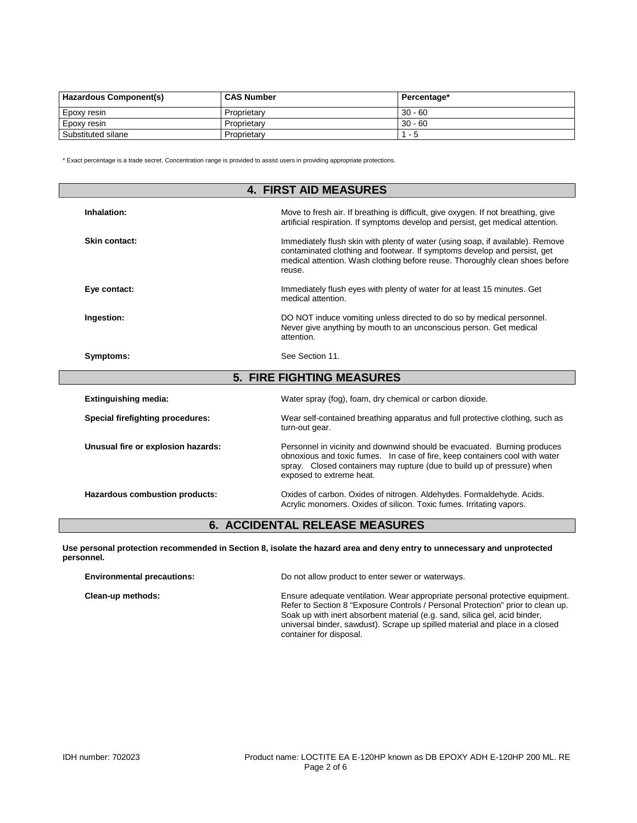| Hazardous Component(s) | <b>CAS Number</b> | Percentage* |
|------------------------|-------------------|-------------|
| <b>Epoxy resin</b>     | Proprietary       | $30 - 60$   |
| <b>Epoxy resin</b>     | Proprietary       | $30 - 60$   |
| Substituted silane     | Proprietary       | - 5         |

\* Exact percentage is a trade secret. Concentration range is provided to assist users in providing appropriate protections.

| <b>4. FIRST AID MEASURES</b>       |                                                                                                                                                                                                                                                                |  |  |
|------------------------------------|----------------------------------------------------------------------------------------------------------------------------------------------------------------------------------------------------------------------------------------------------------------|--|--|
| Inhalation:                        | Move to fresh air. If breathing is difficult, give oxygen. If not breathing, give<br>artificial respiration. If symptoms develop and persist, get medical attention.                                                                                           |  |  |
| Skin contact:                      | Immediately flush skin with plenty of water (using soap, if available). Remove<br>contaminated clothing and footwear. If symptoms develop and persist, get<br>medical attention. Wash clothing before reuse. Thoroughly clean shoes before<br>reuse.           |  |  |
| Eye contact:                       | Immediately flush eyes with plenty of water for at least 15 minutes. Get<br>medical attention.                                                                                                                                                                 |  |  |
| Ingestion:                         | DO NOT induce vomiting unless directed to do so by medical personnel.<br>Never give anything by mouth to an unconscious person. Get medical<br>attention.                                                                                                      |  |  |
| Symptoms:                          | See Section 11.                                                                                                                                                                                                                                                |  |  |
|                                    | <b>5. FIRE FIGHTING MEASURES</b>                                                                                                                                                                                                                               |  |  |
| <b>Extinguishing media:</b>        | Water spray (fog), foam, dry chemical or carbon dioxide.                                                                                                                                                                                                       |  |  |
| Special firefighting procedures:   | Wear self-contained breathing apparatus and full protective clothing, such as<br>turn-out gear.                                                                                                                                                                |  |  |
| Unusual fire or explosion hazards: | Personnel in vicinity and downwind should be evacuated. Burning produces<br>obnoxious and toxic fumes. In case of fire, keep containers cool with water<br>spray. Closed containers may rupture (due to build up of pressure) when<br>exposed to extreme heat. |  |  |
| Hazardous combustion products:     | Oxides of carbon. Oxides of nitrogen. Aldehydes. Formaldehyde. Acids.<br>Acrylic monomers. Oxides of silicon. Toxic fumes. Irritating vapors.                                                                                                                  |  |  |

## **6. ACCIDENTAL RELEASE MEASURES**

**Use personal protection recommended in Section 8, isolate the hazard area and deny entry to unnecessary and unprotected personnel.**

| <b>Environmental precautions:</b> | Do not allow product to enter sewer or waterways.                                                                                                                                                                                                                                                                                                        |  |
|-----------------------------------|----------------------------------------------------------------------------------------------------------------------------------------------------------------------------------------------------------------------------------------------------------------------------------------------------------------------------------------------------------|--|
| Clean-up methods:                 | Ensure adequate ventilation. Wear appropriate personal protective equipment.<br>Refer to Section 8 "Exposure Controls / Personal Protection" prior to clean up.<br>Soak up with inert absorbent material (e.g. sand, silica gel, acid binder,<br>universal binder, sawdust). Scrape up spilled material and place in a closed<br>container for disposal. |  |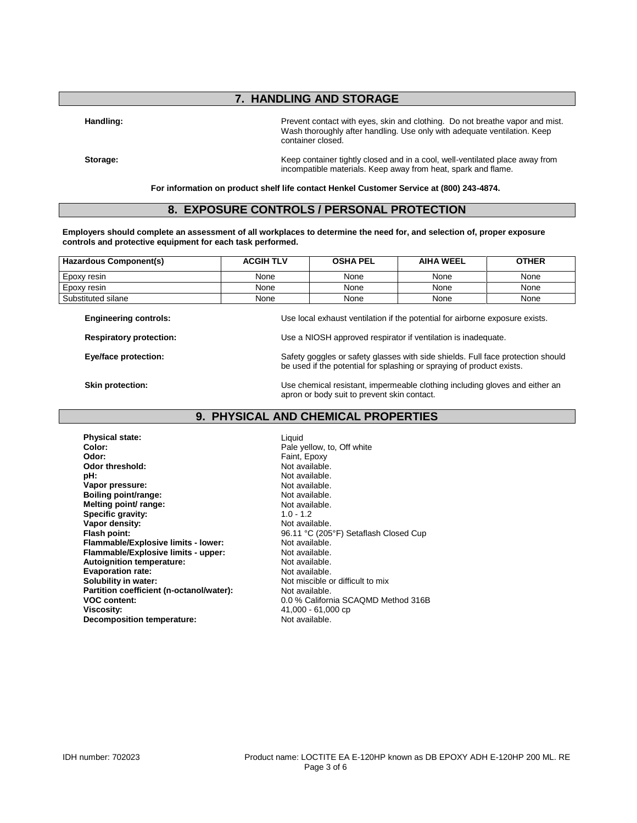## **7. HANDLING AND STORAGE**

Handling: **Handling: Prevent contact with eyes**, skin and clothing. Do not breathe vapor and mist. Wash thoroughly after handling. Use only with adequate ventilation. Keep container closed.

**Storage:** Keep container tightly closed and in a cool, well-ventilated place away from incompatible materials. Keep away from heat, spark and flame.

**For information on product shelf life contact Henkel Customer Service at (800) 243-4874.**

### **8. EXPOSURE CONTROLS / PERSONAL PROTECTION**

**Employers should complete an assessment of all workplaces to determine the need for, and selection of, proper exposure controls and protective equipment for each task performed.**

| <b>Hazardous Component(s)</b>                                  | <b>ACGIH TLV</b>                                                                                                                                         | <b>OSHA PEL</b> | <b>AIHA WEEL</b> | <b>OTHER</b> |
|----------------------------------------------------------------|----------------------------------------------------------------------------------------------------------------------------------------------------------|-----------------|------------------|--------------|
| Epoxy resin                                                    | None                                                                                                                                                     | None            | None             | None         |
| Epoxy resin                                                    | None                                                                                                                                                     | None            | None             | None         |
| Substituted silane                                             | None                                                                                                                                                     | None            | None             | None         |
| <b>Engineering controls:</b><br><b>Respiratory protection:</b> | Use local exhaust ventilation if the potential for airborne exposure exists.<br>Use a NIOSH approved respirator if ventilation is inadequate.            |                 |                  |              |
| Eye/face protection:                                           | Safety goggles or safety glasses with side shields. Full face protection should<br>be used if the potential for splashing or spraying of product exists. |                 |                  |              |
| Skin protection:                                               | Use chemical resistant, impermeable clothing including gloves and either an                                                                              |                 |                  |              |

## **9. PHYSICAL AND CHEMICAL PROPERTIES**

**Physical state:** Liquid **Color:** Liquid Color: Pale v **Color:** Pale yellow, to, Off white **Odor:** Pale yellow, to, Off white **Odor: Odor threshold:**<br>pH: **Vapor pressure:** Not available.<br> **Boiling point/range:** Not available. **Boiling point/range:** Not available.<br> **Melting point/ range:** Not available.<br>
Not available. **Melting point/ range:** Not avail<br> **Specific aravity:** Not avail **Specific aravity:** 1.0 - 1.2 **Specific gravity:**  $\begin{array}{ccc} 1.0 - 1.2 \\ \text{Vapor density:} \end{array}$ Vapor density:<br>Flash point: **Flammable/Explosive limits - lower:** Not available.<br> **Flammable/Explosive limits - upper:** Not available. **Flammable/Explosive limits - upper:** Not available.<br> **Autoignition temperature:** Not available. **Autoignition temperature:** Not available.<br> **Evaporation rate:** Not available. **Evaporation rate:**<br>Solubility in water: Partition coefficient (n-octanol/water): **Decomposition temperature:** 

Faint, Epoxy<br>Not available. Not available.<br>Not available. 96.11 °C (205°F) Setaflash Closed Cup<br>Not available. Not miscible or difficult to mix<br>Not available. **VOC content:** 0.0 % California SCAQMD Method 316B<br>Viscosity: 41,000 - 61,000 cp 41,000 - 61,000 cp<br>Not available.

apron or body suit to prevent skin contact.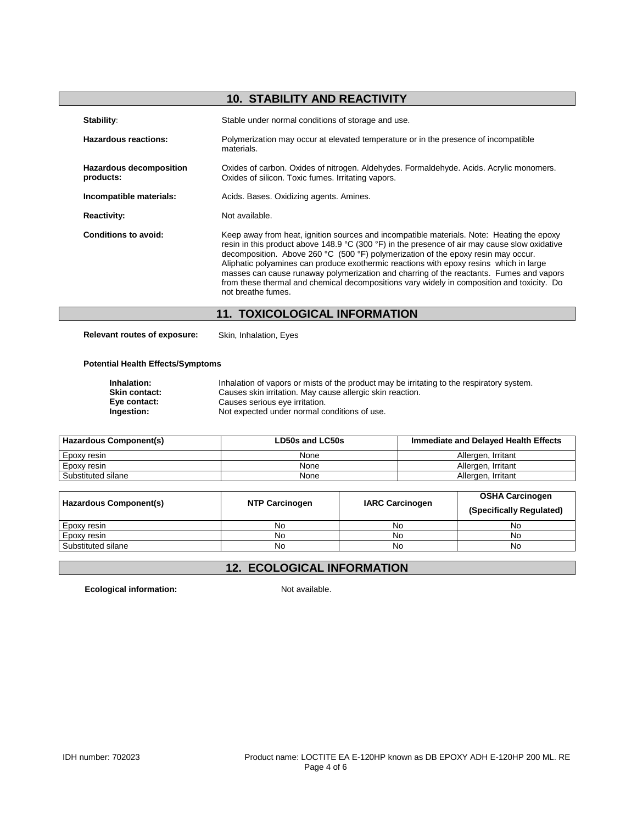# **10. STABILITY AND REACTIVITY**

| Stability:                                  | Stable under normal conditions of storage and use.                                                                                                                                                                                                                                                                                                                                                                                                                                                                                                                                       |  |
|---------------------------------------------|------------------------------------------------------------------------------------------------------------------------------------------------------------------------------------------------------------------------------------------------------------------------------------------------------------------------------------------------------------------------------------------------------------------------------------------------------------------------------------------------------------------------------------------------------------------------------------------|--|
| Hazardous reactions:                        | Polymerization may occur at elevated temperature or in the presence of incompatible<br>materials.                                                                                                                                                                                                                                                                                                                                                                                                                                                                                        |  |
| <b>Hazardous decomposition</b><br>products: | Oxides of carbon. Oxides of nitrogen. Aldehydes. Formaldehyde. Acids. Acrylic monomers.<br>Oxides of silicon. Toxic fumes. Irritating vapors.                                                                                                                                                                                                                                                                                                                                                                                                                                            |  |
| Incompatible materials:                     | Acids. Bases. Oxidizing agents. Amines.                                                                                                                                                                                                                                                                                                                                                                                                                                                                                                                                                  |  |
| <b>Reactivity:</b>                          | Not available.                                                                                                                                                                                                                                                                                                                                                                                                                                                                                                                                                                           |  |
| Conditions to avoid:                        | Keep away from heat, ignition sources and incompatible materials. Note: Heating the epoxy<br>resin in this product above 148.9 °C (300 °F) in the presence of air may cause slow oxidative<br>decomposition. Above 260 °C (500 °F) polymerization of the epoxy resin may occur.<br>Aliphatic polyamines can produce exothermic reactions with epoxy resins which in large<br>masses can cause runaway polymerization and charring of the reactants. Fumes and vapors<br>from these thermal and chemical decompositions vary widely in composition and toxicity. Do<br>not breathe fumes. |  |
| <b>11. TOXICOLOGICAL INFORMATION</b>        |                                                                                                                                                                                                                                                                                                                                                                                                                                                                                                                                                                                          |  |

**Relevant routes of exposure:** Skin, Inhalation, Eyes

#### **Potential Health Effects/Symptoms**

**Inhalation:** Inhalation of vapors or mists of the product may be irritating to the respiratory system. **Skin contact:** Causes skin irritation. May cause allergic skin reaction. **Eye contact:** Causes serious eye irritation. **Ingestion:** Not expected under normal conditions of use.

| <b>Hazardous Component(s)</b> | LD50s and LC50s | Immediate and Delayed Health Effects |
|-------------------------------|-----------------|--------------------------------------|
| Epoxy resin                   | None            | Allergen, Irritant                   |
| Epoxy resin                   | None            | Allergen, Irritant                   |
| Substituted silane            | None            | Allergen, Irritant                   |

| Hazardous Component(s) | <b>NTP Carcinogen</b> | <b>IARC Carcinogen</b> | OSHA Carcinogen<br>(Specifically Regulated) |
|------------------------|-----------------------|------------------------|---------------------------------------------|
| Epoxy resin            | No                    | No                     | No                                          |
| Epoxy resin            | No                    | No                     | No                                          |
| Substituted silane     | No                    | No                     | No                                          |

## **12. ECOLOGICAL INFORMATION**

**Ecological information:** Not available.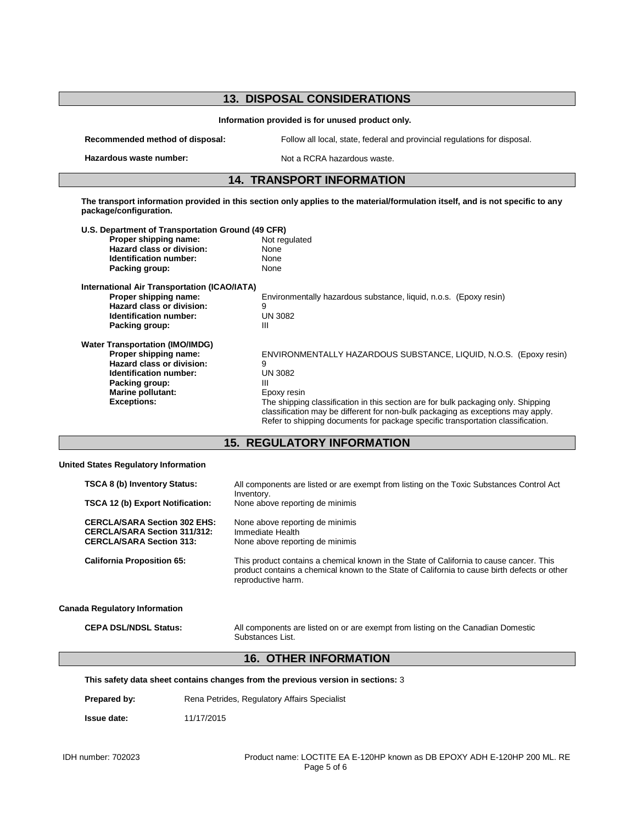# **13. DISPOSAL CONSIDERATIONS Information provided is for unused product only. Recommended method of disposal:** Follow all local, state, federal and provincial regulations for disposal. **Hazardous waste number:** Not a RCRA hazardous waste. **14. TRANSPORT INFORMATION The transport information provided in this section only applies to the material/formulation itself, and is not specific to any package/configuration. U.S. Department of Transportation Ground (49 CFR) Proper shipping name:** Not regulated a Not regulated a Not regulated a Not regulated a None **Hazard class or division:** None<br> **Identification number:** None **Identification number: Packing group:** None **International Air Transportation (ICAO/IATA)** Environmentally hazardous substance, liquid, n.o.s. (Epoxy resin) **Hazard class or division:** 9 **Identification number:** UN 3082<br>Packing group: UN 30822 **Packing group: Water Transportation (IMO/IMDG) ENVIRONMENTALLY HAZARDOUS SUBSTANCE, LIQUID, N.O.S. (Epoxy resin) Hazard class or division:** 9 **Identification number: Packing group:** III III<br> **Marine pollutant:** Epoxy resin **Marine pollutant:**<br>Exceptions: The shipping classification in this section are for bulk packaging only. Shipping classification may be different for non-bulk packaging as exceptions may apply. Refer to shipping documents for package specific transportation classification. **15. REGULATORY INFORMATION United States Regulatory Information TSCA 8 (b) Inventory Status:** All components are listed or are exempt from listing on the Toxic Substances Control Act Inventory. **TSCA 12 (b) Export Notification:** None above reporting de minimis CERCLA/SARA Section 302 EHS: None above reporting de minimis<br>CERCLA/SARA Section 311/312: Immediate Health **CERCLA/SARA Section 311/312:**<br>CERCLA/SARA Section 313: **CERCLA/SARA Section 313:** None above reporting de minimis **California Proposition 65:** This product contains a chemical known in the State of California to cause cancer. This product contains a chemical known to the State of California to cause birth defects or other reproductive harm. **Canada Regulatory Information CEPA DSL/NDSL Status:** All components are listed on or are exempt from listing on the Canadian Domestic Substances List. **16. OTHER INFORMATION This safety data sheet contains changes from the previous version in sections:** 3 **Prepared by:** Rena Petrides, Regulatory Affairs Specialist

**Issue date:** 11/17/2015